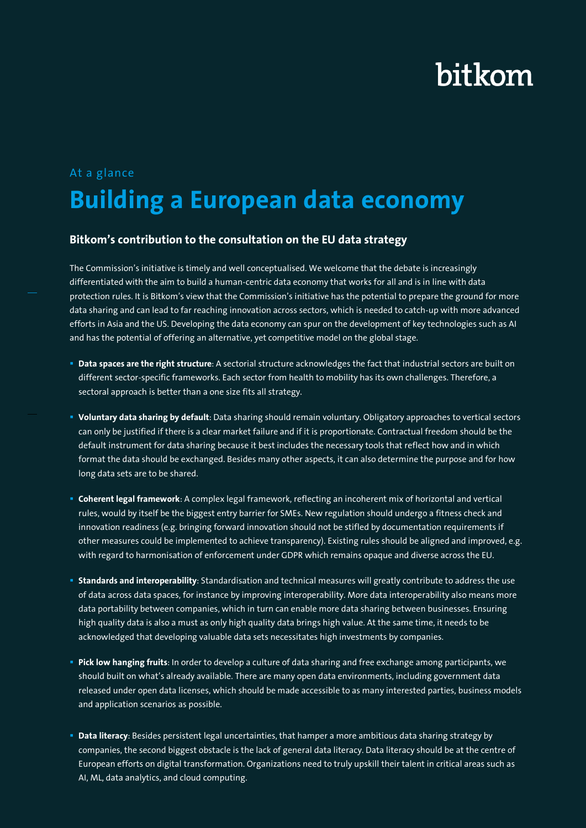## At a glance **Building a European data economy**

### **Bitkom's contribution to the consultation on the EU data strategy**

The Commission's initiative is timely and well conceptualised. We welcome that the debate is increasingly differentiated with the aim to build a human-centric data economy that works for all and is in line with data protection rules. It is Bitkom's view that the Commission's initiative has the potential to prepare the ground for more data sharing and can lead to far reaching innovation across sectors, which is needed to catch-up with more advanced efforts in Asia and the US. Developing the data economy can spur on the development of key technologies such as AI and has the potential of offering an alternative, yet competitive model on the global stage.

- **Data spaces are the right structure**: A sectorial structure acknowledges the fact that industrial sectors are built on different sector-specific frameworks. Each sector from health to mobility has its own challenges. Therefore, a sectoral approach is better than a one size fits all strategy.
- **Voluntary data sharing by default**: Data sharing should remain voluntary. Obligatory approaches to vertical sectors can only be justified if there is a clear market failure and if it is proportionate. Contractual freedom should be the default instrument for data sharing because it best includes the necessary tools that reflect how and in which format the data should be exchanged. Besides many other aspects, it can also determine the purpose and for how long data sets are to be shared.
- **Coherent legal framework**: A complex legal framework, reflecting an incoherent mix of horizontal and vertical rules, would by itself be the biggest entry barrier for SMEs. New regulation should undergo a fitness check and innovation readiness (e.g. bringing forward innovation should not be stifled by documentation requirements if other measures could be implemented to achieve transparency). Existing rules should be aligned and improved, e.g. with regard to harmonisation of enforcement under GDPR which remains opaque and diverse across the EU.
- **Standards and interoperability**: Standardisation and technical measures will greatly contribute to address the use of data across data spaces, for instance by improving interoperability. More data interoperability also means more data portability between companies, which in turn can enable more data sharing between businesses. Ensuring high quality data is also a must as only high quality data brings high value. At the same time, it needs to be acknowledged that developing valuable data sets necessitates high investments by companies.
- **Pick low hanging fruits**: In order to develop a culture of data sharing and free exchange among participants, we should built on what's already available. There are many open data environments, including government data released under open data licenses, which should be made accessible to as many interested parties, business models and application scenarios as possible.
- **Data literacy**: Besides persistent legal uncertainties, that hamper a more ambitious data sharing strategy by companies, the second biggest obstacle is the lack of general data literacy. Data literacy should be at the centre of European efforts on digital transformation. Organizations need to truly upskill their talent in critical areas such as AI, ML, data analytics, and cloud computing.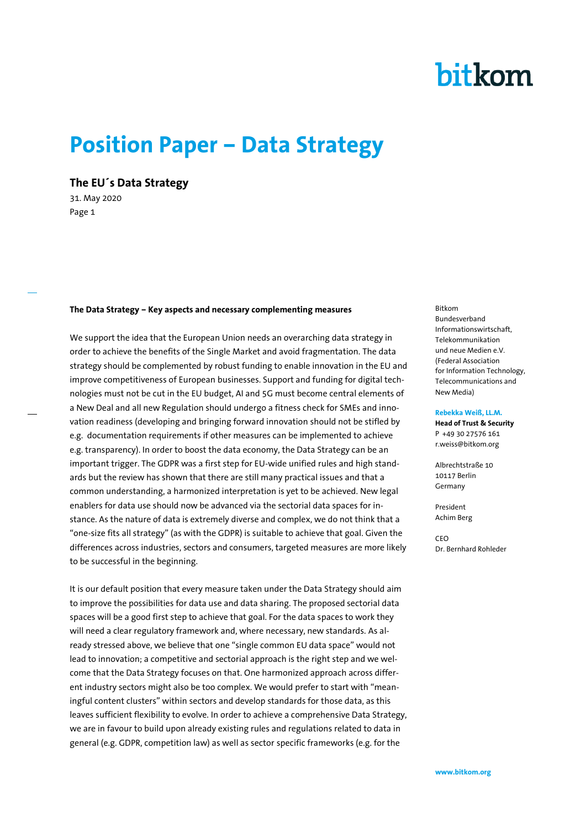## **Position Paper – Data Strategy**

**The EU´s Data Strategy**

31. May 2020 Page 1

#### **The Data Strategy – Key aspects and necessary complementing measures**

We support the idea that the European Union needs an overarching data strategy in order to achieve the benefits of the Single Market and avoid fragmentation. The data strategy should be complemented by robust funding to enable innovation in the EU and improve competitiveness of European businesses. Support and funding for digital technologies must not be cut in the EU budget, AI and 5G must become central elements of a New Deal and all new Regulation should undergo a fitness check for SMEs and innovation readiness (developing and bringing forward innovation should not be stifled by e.g. documentation requirements if other measures can be implemented to achieve e.g. transparency). In order to boost the data economy, the Data Strategy can be an important trigger. The GDPR was a first step for EU-wide unified rules and high standards but the review has shown that there are still many practical issues and that a common understanding, a harmonized interpretation is yet to be achieved. New legal enablers for data use should now be advanced via the sectorial data spaces for instance. As the nature of data is extremely diverse and complex, we do not think that a "one-size fits all strategy" (as with the GDPR) is suitable to achieve that goal. Given the differences across industries, sectors and consumers, targeted measures are more likely to be successful in the beginning.

It is our default position that every measure taken under the Data Strategy should aim to improve the possibilities for data use and data sharing. The proposed sectorial data spaces will be a good first step to achieve that goal. For the data spaces to work they will need a clear regulatory framework and, where necessary, new standards. As already stressed above, we believe that one "single common EU data space" would not lead to innovation; a competitive and sectorial approach is the right step and we welcome that the Data Strategy focuses on that. One harmonized approach across different industry sectors might also be too complex. We would prefer to start with "meaningful content clusters" within sectors and develop standards for those data, as this leaves sufficient flexibility to evolve. In order to achieve a comprehensive Data Strategy, we are in favour to build upon already existing rules and regulations related to data in general (e.g. GDPR, competition law) as well as sector specific frameworks (e.g. for the

Bitkom Bundesverband Informationswirtschaft, Telekommunikation und neue Medien e.V. (Federal Association for Information Technology, Telecommunications and New Media)

#### **Rebekka Weiß, LL.M.**

**Head of Trust & Security** P +49 30 27576 161 r.weiss@bitkom.org

Albrechtstraße 10 10117 Berlin Germany

President Achim Berg

CEO Dr. Bernhard Rohleder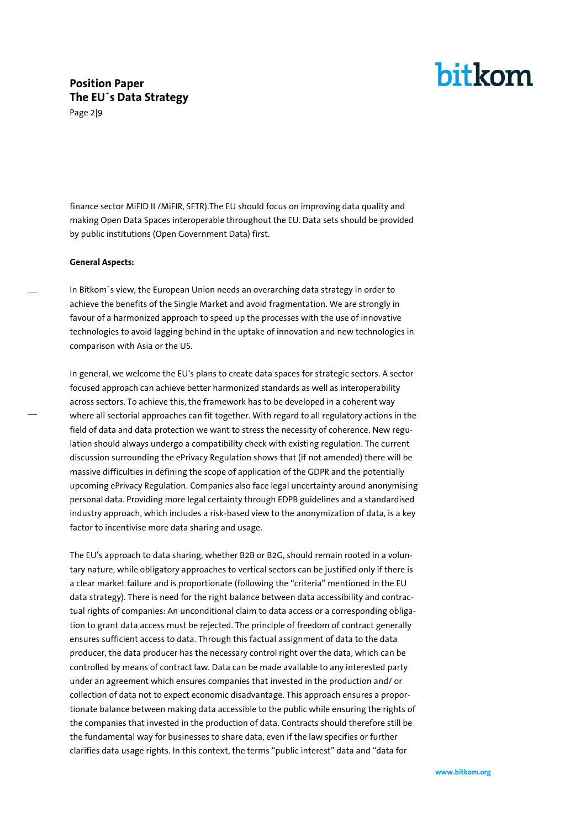## **Position Paper The EU´s Data Strategy**

Page 2|9

finance sector MiFID II /MiFIR, SFTR).The EU should focus on improving data quality and making Open Data Spaces interoperable throughout the EU. Data sets should be provided by public institutions (Open Government Data) first.

#### **General Aspects:**

In Bitkom´s view, the European Union needs an overarching data strategy in order to achieve the benefits of the Single Market and avoid fragmentation. We are strongly in favour of a harmonized approach to speed up the processes with the use of innovative technologies to avoid lagging behind in the uptake of innovation and new technologies in comparison with Asia or the US.

In general, we welcome the EU's plans to create data spaces for strategic sectors. A sector focused approach can achieve better harmonized standards as well as interoperability across sectors. To achieve this, the framework has to be developed in a coherent way where all sectorial approaches can fit together. With regard to all regulatory actions in the field of data and data protection we want to stress the necessity of coherence. New regulation should always undergo a compatibility check with existing regulation. The current discussion surrounding the ePrivacy Regulation shows that (if not amended) there will be massive difficulties in defining the scope of application of the GDPR and the potentially upcoming ePrivacy Regulation. Companies also face legal uncertainty around anonymising personal data. Providing more legal certainty through EDPB guidelines and a standardised industry approach, which includes a risk-based view to the anonymization of data, is a key factor to incentivise more data sharing and usage.

The EU's approach to data sharing, whether B2B or B2G, should remain rooted in a voluntary nature, while obligatory approaches to vertical sectors can be justified only if there is a clear market failure and is proportionate (following the "criteria" mentioned in the EU data strategy). There is need for the right balance between data accessibility and contractual rights of companies: An unconditional claim to data access or a corresponding obligation to grant data access must be rejected. The principle of freedom of contract generally ensures sufficient access to data. Through this factual assignment of data to the data producer, the data producer has the necessary control right over the data, which can be controlled by means of contract law. Data can be made available to any interested party under an agreement which ensures companies that invested in the production and/ or collection of data not to expect economic disadvantage. This approach ensures a proportionate balance between making data accessible to the public while ensuring the rights of the companies that invested in the production of data. Contracts should therefore still be the fundamental way for businesses to share data, even if the law specifies or further clarifies data usage rights. In this context, the terms "public interest" data and "data for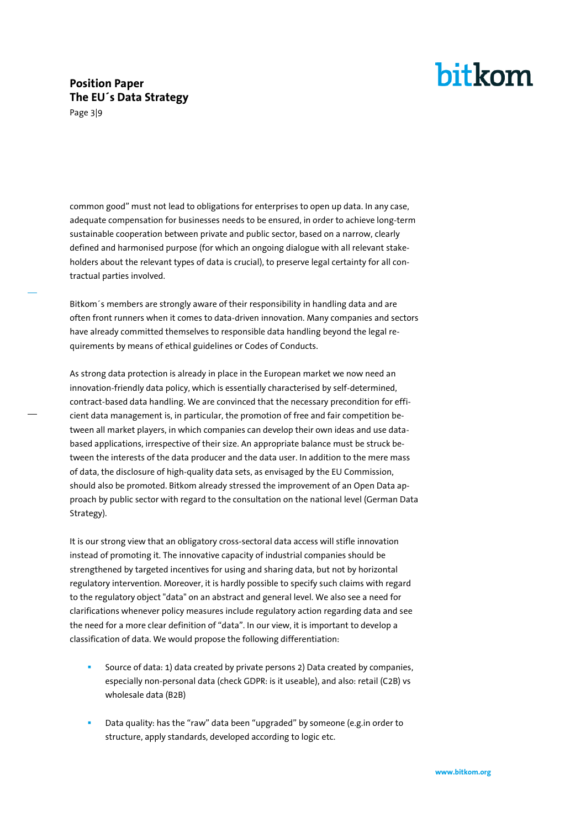### **Position Paper The EU´s Data Strategy**

Page 3|9

common good" must not lead to obligations for enterprises to open up data. In any case, adequate compensation for businesses needs to be ensured, in order to achieve long-term sustainable cooperation between private and public sector, based on a narrow, clearly defined and harmonised purpose (for which an ongoing dialogue with all relevant stakeholders about the relevant types of data is crucial), to preserve legal certainty for all contractual parties involved.

Bitkom´s members are strongly aware of their responsibility in handling data and are often front runners when it comes to data-driven innovation. Many companies and sectors have already committed themselves to responsible data handling beyond the legal requirements by means of ethical guidelines or Codes of Conducts.

As strong data protection is already in place in the European market we now need an innovation-friendly data policy, which is essentially characterised by self-determined, contract-based data handling. We are convinced that the necessary precondition for efficient data management is, in particular, the promotion of free and fair competition between all market players, in which companies can develop their own ideas and use databased applications, irrespective of their size. An appropriate balance must be struck between the interests of the data producer and the data user. In addition to the mere mass of data, the disclosure of high-quality data sets, as envisaged by the EU Commission, should also be promoted. Bitkom already stressed the improvement of an Open Data approach by public sector with regard to the consultation on the national level (German Data Strategy).

It is our strong view that an obligatory cross-sectoral data access will stifle innovation instead of promoting it. The innovative capacity of industrial companies should be strengthened by targeted incentives for using and sharing data, but not by horizontal regulatory intervention. Moreover, it is hardly possible to specify such claims with regard to the regulatory object "data" on an abstract and general level. We also see a need for clarifications whenever policy measures include regulatory action regarding data and see the need for a more clear definition of "data". In our view, it is important to develop a classification of data. We would propose the following differentiation:

- Source of data: 1) data created by private persons 2) Data created by companies, especially non-personal data (check GDPR: is it useable), and also: retail (C2B) vs wholesale data (B2B)
- Data quality: has the "raw" data been "upgraded" by someone (e.g.in order to structure, apply standards, developed according to logic etc.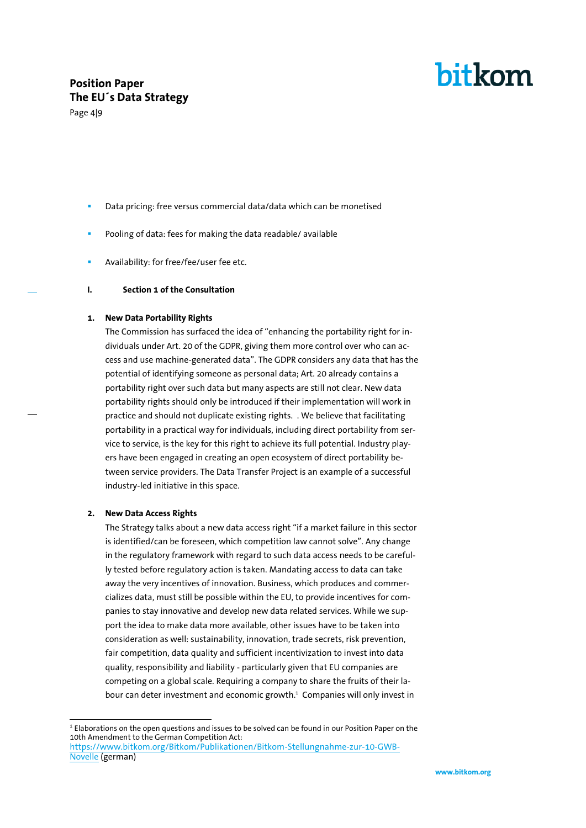### **Position Paper The EU´s Data Strategy**

Page 4|9

bitkom

- Data pricing: free versus commercial data/data which can be monetised
- Pooling of data: fees for making the data readable/ available
- Availability: for free/fee/user fee etc.

#### **I. Section 1 of the Consultation**

#### **1. New Data Portability Rights**

The Commission has surfaced the idea of "enhancing the portability right for individuals under Art. 20 of the GDPR, giving them more control over who can access and use machine-generated data". The GDPR considers any data that has the potential of identifying someone as personal data; Art. 20 already contains a portability right over such data but many aspects are still not clear. New data portability rights should only be introduced if their implementation will work in practice and should not duplicate existing rights. . We believe that facilitating portability in a practical way for individuals, including direct portability from service to service, is the key for this right to achieve its full potential. Industry players have been engaged in creating an open ecosystem of direct portability between service providers. The Data Transfer Project is an example of a successful industry-led initiative in this space.

#### **2. New Data Access Rights**

j

The Strategy talks about a new data access right "if a market failure in this sector is identified/can be foreseen, which competition law cannot solve". Any change in the regulatory framework with regard to such data access needs to be carefully tested before regulatory action is taken. Mandating access to data can take away the very incentives of innovation. Business, which produces and commercializes data, must still be possible within the EU, to provide incentives for companies to stay innovative and develop new data related services. While we support the idea to make data more available, other issues have to be taken into consideration as well: sustainability, innovation, trade secrets, risk prevention, fair competition, data quality and sufficient incentivization to invest into data quality, responsibility and liability - particularly given that EU companies are competing on a global scale. Requiring a company to share the fruits of their labour can deter investment and economic growth.<sup>1</sup> Companies will only invest in

<sup>&</sup>lt;sup>1</sup> Elaborations on the open questions and issues to be solved can be found in our Position Paper on the 10th Amendment to the German Competition Act: [https://www.bitkom.org/Bitkom/Publikationen/Bitkom-Stellungnahme-zur-10-GWB-](https://www.bitkom.org/Bitkom/Publikationen/Bitkom-Stellungnahme-zur-10-GWB-Novelle)[Novelle](https://www.bitkom.org/Bitkom/Publikationen/Bitkom-Stellungnahme-zur-10-GWB-Novelle) (german)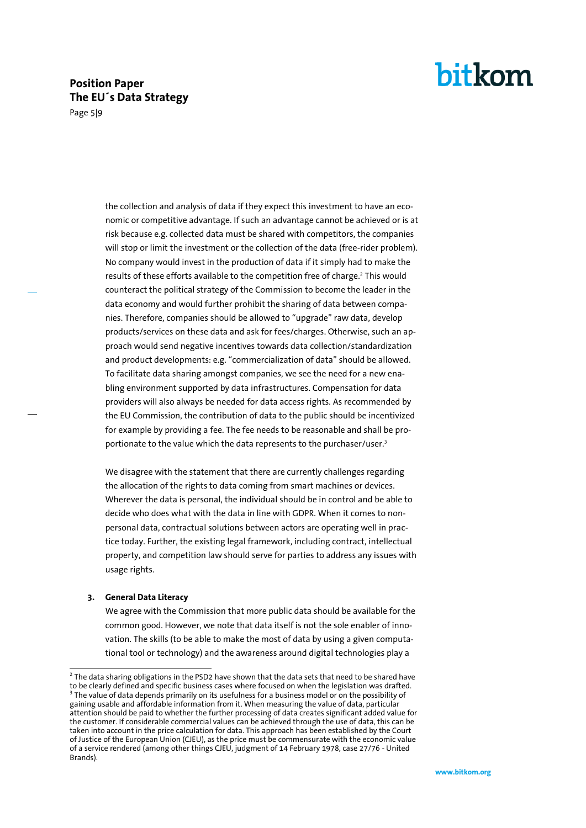### **Position Paper The EU´s Data Strategy**

Page 5|9

the collection and analysis of data if they expect this investment to have an economic or competitive advantage. If such an advantage cannot be achieved or is at risk because e.g. collected data must be shared with competitors, the companies will stop or limit the investment or the collection of the data (free-rider problem). No company would invest in the production of data if it simply had to make the results of these efforts available to the competition free of charge.<sup>2</sup> This would counteract the political strategy of the Commission to become the leader in the data economy and would further prohibit the sharing of data between companies. Therefore, companies should be allowed to "upgrade" raw data, develop products/services on these data and ask for fees/charges. Otherwise, such an approach would send negative incentives towards data collection/standardization and product developments: e.g. "commercialization of data" should be allowed. To facilitate data sharing amongst companies, we see the need for a new enabling environment supported by data infrastructures. Compensation for data providers will also always be needed for data access rights. As recommended by the EU Commission, the contribution of data to the public should be incentivized for example by providing a fee. The fee needs to be reasonable and shall be proportionate to the value which the data represents to the purchaser/user.<sup>3</sup>

We disagree with the statement that there are currently challenges regarding the allocation of the rights to data coming from smart machines or devices. Wherever the data is personal, the individual should be in control and be able to decide who does what with the data in line with GDPR. When it comes to nonpersonal data, contractual solutions between actors are operating well in practice today. Further, the existing legal framework, including contract, intellectual property, and competition law should serve for parties to address any issues with usage rights.

#### **3. General Data Literacy**

We agree with the Commission that more public data should be available for the common good. However, we note that data itself is not the sole enabler of innovation. The skills (to be able to make the most of data by using a given computational tool or technology) and the awareness around digital technologies play a

 2 The data sharing obligations in the PSD2 have shown that the data sets that need to be shared have to be clearly defined and specific business cases where focused on when the legislation was drafted. <sup>3</sup> The value of data depends primarily on its usefulness for a business model or on the possibility of gaining usable and affordable information from it. When measuring the value of data, particular attention should be paid to whether the further processing of data creates significant added value for the customer. If considerable commercial values can be achieved through the use of data, this can be taken into account in the price calculation for data. This approach has been established by the Court of Justice of the European Union (CJEU), as the price must be commensurate with the economic value of a service rendered (among other things CJEU, judgment of 14 February 1978, case 27/76 - United Brands).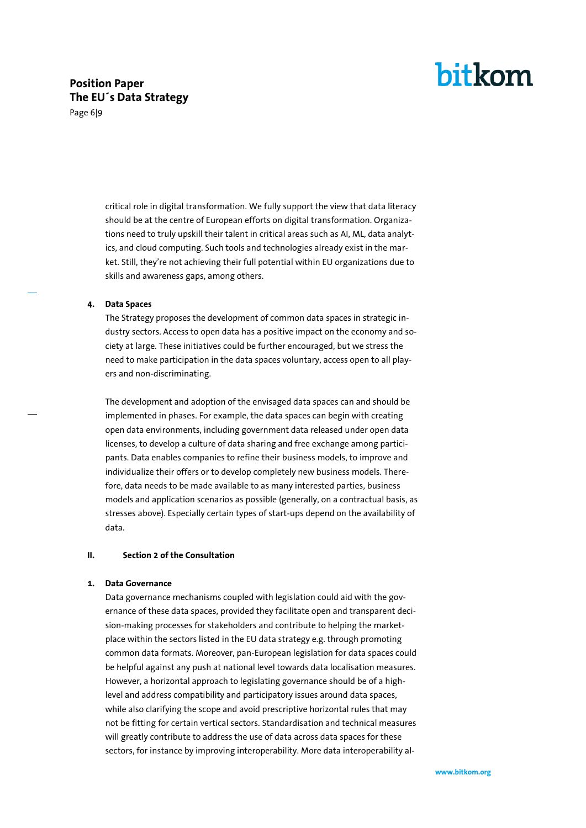### **Position Paper The EU´s Data Strategy**

Page 6|9

critical role in digital transformation. We fully support the view that data literacy should be at the centre of European efforts on digital transformation. Organizations need to truly upskill their talent in critical areas such as AI, ML, data analytics, and cloud computing. Such tools and technologies already exist in the market. Still, they're not achieving their full potential within EU organizations due to skills and awareness gaps, among others.

#### **4. Data Spaces**

The Strategy proposes the development of common data spaces in strategic industry sectors. Access to open data has a positive impact on the economy and society at large. These initiatives could be further encouraged, but we stress the need to make participation in the data spaces voluntary, access open to all players and non-discriminating.

The development and adoption of the envisaged data spaces can and should be implemented in phases. For example, the data spaces can begin with creating open data environments, including government data released under open data licenses, to develop a culture of data sharing and free exchange among participants. Data enables companies to refine their business models, to improve and individualize their offers or to develop completely new business models. Therefore, data needs to be made available to as many interested parties, business models and application scenarios as possible (generally, on a contractual basis, as stresses above). Especially certain types of start-ups depend on the availability of data.

#### **II. Section 2 of the Consultation**

#### **1. Data Governance**

Data governance mechanisms coupled with legislation could aid with the governance of these data spaces, provided they facilitate open and transparent decision-making processes for stakeholders and contribute to helping the marketplace within the sectors listed in the EU data strategy e.g. through promoting common data formats. Moreover, pan-European legislation for data spaces could be helpful against any push at national level towards data localisation measures. However, a horizontal approach to legislating governance should be of a highlevel and address compatibility and participatory issues around data spaces, while also clarifying the scope and avoid prescriptive horizontal rules that may not be fitting for certain vertical sectors. Standardisation and technical measures will greatly contribute to address the use of data across data spaces for these sectors, for instance by improving interoperability. More data interoperability al-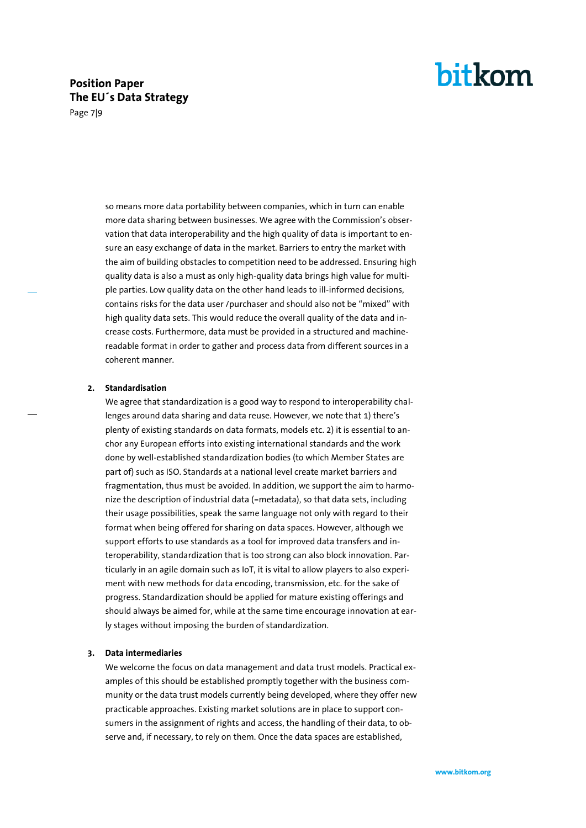### **Position Paper The EU´s Data Strategy**

Page 7|9

so means more data portability between companies, which in turn can enable more data sharing between businesses. We agree with the Commission's observation that data interoperability and the high quality of data is important to ensure an easy exchange of data in the market. Barriers to entry the market with the aim of building obstacles to competition need to be addressed. Ensuring high quality data is also a must as only high-quality data brings high value for multiple parties. Low quality data on the other hand leads to ill-informed decisions, contains risks for the data user /purchaser and should also not be "mixed" with high quality data sets. This would reduce the overall quality of the data and increase costs. Furthermore, data must be provided in a structured and machinereadable format in order to gather and process data from different sources in a coherent manner.

#### **2. Standardisation**

We agree that standardization is a good way to respond to interoperability challenges around data sharing and data reuse. However, we note that 1) there's plenty of existing standards on data formats, models etc. 2) it is essential to anchor any European efforts into existing international standards and the work done by well-established standardization bodies (to which Member States are part of) such as ISO. Standards at a national level create market barriers and fragmentation, thus must be avoided. In addition, we support the aim to harmonize the description of industrial data (=metadata), so that data sets, including their usage possibilities, speak the same language not only with regard to their format when being offered for sharing on data spaces. However, although we support efforts to use standards as a tool for improved data transfers and interoperability, standardization that is too strong can also block innovation. Particularly in an agile domain such as IoT, it is vital to allow players to also experiment with new methods for data encoding, transmission, etc. for the sake of progress. Standardization should be applied for mature existing offerings and should always be aimed for, while at the same time encourage innovation at early stages without imposing the burden of standardization.

#### **3. Data intermediaries**

We welcome the focus on data management and data trust models. Practical examples of this should be established promptly together with the business community or the data trust models currently being developed, where they offer new practicable approaches. Existing market solutions are in place to support consumers in the assignment of rights and access, the handling of their data, to observe and, if necessary, to rely on them. Once the data spaces are established,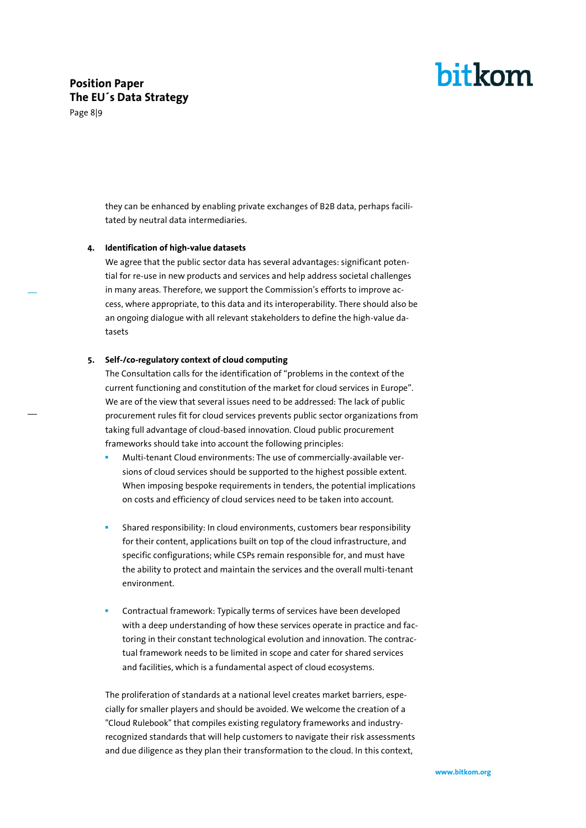### **Position Paper The EU´s Data Strategy**



they can be enhanced by enabling private exchanges of B2B data, perhaps facilitated by neutral data intermediaries.

#### **4. Identification of high-value datasets**

We agree that the public sector data has several advantages: significant potential for re-use in new products and services and help address societal challenges in many areas. Therefore, we support the Commission's efforts to improve access, where appropriate, to this data and its interoperability. There should also be an ongoing dialogue with all relevant stakeholders to define the high-value datasets

#### **5. Self-/co-regulatory context of cloud computing**

The Consultation calls for the identification of "problems in the context of the current functioning and constitution of the market for cloud services in Europe". We are of the view that several issues need to be addressed: The lack of public procurement rules fit for cloud services prevents public sector organizations from taking full advantage of cloud-based innovation. Cloud public procurement frameworks should take into account the following principles:

- Multi-tenant Cloud environments: The use of commercially-available versions of cloud services should be supported to the highest possible extent. When imposing bespoke requirements in tenders, the potential implications on costs and efficiency of cloud services need to be taken into account.
- Shared responsibility: In cloud environments, customers bear responsibility for their content, applications built on top of the cloud infrastructure, and specific configurations; while CSPs remain responsible for, and must have the ability to protect and maintain the services and the overall multi-tenant environment.
- Contractual framework: Typically terms of services have been developed with a deep understanding of how these services operate in practice and factoring in their constant technological evolution and innovation. The contractual framework needs to be limited in scope and cater for shared services and facilities, which is a fundamental aspect of cloud ecosystems.

The proliferation of standards at a national level creates market barriers, especially for smaller players and should be avoided. We welcome the creation of a "Cloud Rulebook" that compiles existing regulatory frameworks and industryrecognized standards that will help customers to navigate their risk assessments and due diligence as they plan their transformation to the cloud. In this context,

bitkom